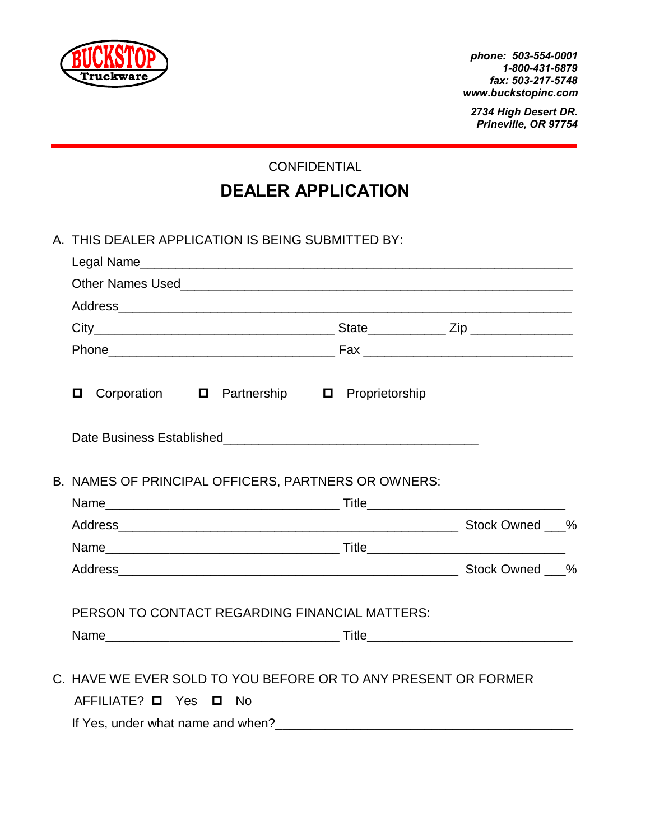

*phone: 503-554-0001 1-800-431-6879 fax: 503-217-5748 www.buckstopinc.com* 

*2734 High Desert DR. Prineville, OR 97754*

CONFIDENTIAL

# **DEALER APPLICATION**

|  | A. THIS DEALER APPLICATION IS BEING SUBMITTED BY:                                                   |  |  |
|--|-----------------------------------------------------------------------------------------------------|--|--|
|  |                                                                                                     |  |  |
|  |                                                                                                     |  |  |
|  |                                                                                                     |  |  |
|  |                                                                                                     |  |  |
|  |                                                                                                     |  |  |
|  | Corporation <b>D</b> Partnership <b>D</b> Proprietorship<br>О                                       |  |  |
|  |                                                                                                     |  |  |
|  | B. NAMES OF PRINCIPAL OFFICERS, PARTNERS OR OWNERS:                                                 |  |  |
|  |                                                                                                     |  |  |
|  |                                                                                                     |  |  |
|  |                                                                                                     |  |  |
|  |                                                                                                     |  |  |
|  | PERSON TO CONTACT REGARDING FINANCIAL MATTERS:                                                      |  |  |
|  |                                                                                                     |  |  |
|  | C. HAVE WE EVER SOLD TO YOU BEFORE OR TO ANY PRESENT OR FORMER<br>$AFFILIATE?$ $\Box$ Yes $\Box$ No |  |  |
|  | If Yes, under what name and when?                                                                   |  |  |